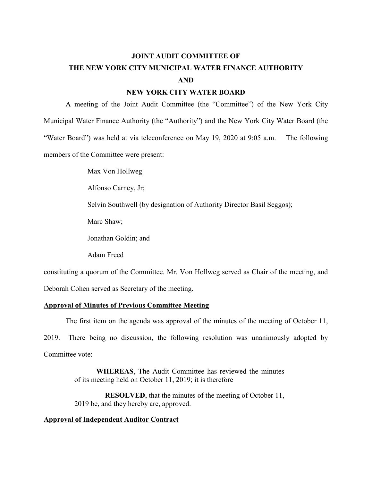# **JOINT AUDIT COMMITTEE OF THE NEW YORK CITY MUNICIPAL WATER FINANCE AUTHORITY AND**

# **NEW YORK CITY WATER BOARD**

A meeting of the Joint Audit Committee (the "Committee") of the New York City Municipal Water Finance Authority (the "Authority") and the New York City Water Board (the "Water Board") was held at via teleconference on May 19, 2020 at 9:05 a.m. The following members of the Committee were present:

Max Von Hollweg

Alfonso Carney, Jr;

Selvin Southwell (by designation of Authority Director Basil Seggos);

Marc Shaw;

Jonathan Goldin; and

Adam Freed

constituting a quorum of the Committee. Mr. Von Hollweg served as Chair of the meeting, and

Deborah Cohen served as Secretary of the meeting.

## **Approval of Minutes of Previous Committee Meeting**

The first item on the agenda was approval of the minutes of the meeting of October 11,

2019. There being no discussion, the following resolution was unanimously adopted by

Committee vote:

**WHEREAS**, The Audit Committee has reviewed the minutes of its meeting held on October 11, 2019; it is therefore

**RESOLVED**, that the minutes of the meeting of October 11, 2019 be, and they hereby are, approved.

## **Approval of Independent Auditor Contract**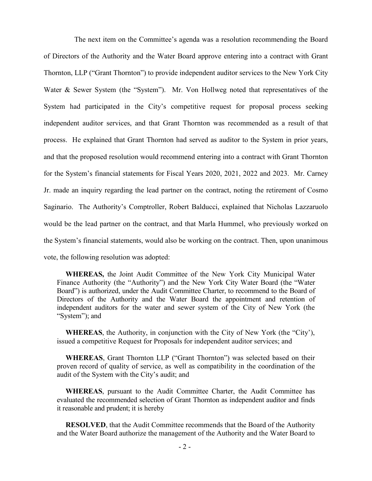The next item on the Committee's agenda was a resolution recommending the Board of Directors of the Authority and the Water Board approve entering into a contract with Grant Thornton, LLP ("Grant Thornton") to provide independent auditor services to the New York City Water & Sewer System (the "System"). Mr. Von Hollweg noted that representatives of the System had participated in the City's competitive request for proposal process seeking independent auditor services, and that Grant Thornton was recommended as a result of that process. He explained that Grant Thornton had served as auditor to the System in prior years, and that the proposed resolution would recommend entering into a contract with Grant Thornton for the System's financial statements for Fiscal Years 2020, 2021, 2022 and 2023. Mr. Carney Jr. made an inquiry regarding the lead partner on the contract, noting the retirement of Cosmo Saginario. The Authority's Comptroller, Robert Balducci, explained that Nicholas Lazzaruolo would be the lead partner on the contract, and that Marla Hummel, who previously worked on the System's financial statements, would also be working on the contract. Then, upon unanimous vote, the following resolution was adopted:

**WHEREAS,** the Joint Audit Committee of the New York City Municipal Water Finance Authority (the "Authority") and the New York City Water Board (the "Water Board") is authorized, under the Audit Committee Charter, to recommend to the Board of Directors of the Authority and the Water Board the appointment and retention of independent auditors for the water and sewer system of the City of New York (the "System"); and

**WHEREAS**, the Authority, in conjunction with the City of New York (the "City'), issued a competitive Request for Proposals for independent auditor services; and

**WHEREAS**, Grant Thornton LLP ("Grant Thornton") was selected based on their proven record of quality of service, as well as compatibility in the coordination of the audit of the System with the City's audit; and

**WHEREAS**, pursuant to the Audit Committee Charter, the Audit Committee has evaluated the recommended selection of Grant Thornton as independent auditor and finds it reasonable and prudent; it is hereby

**RESOLVED**, that the Audit Committee recommends that the Board of the Authority and the Water Board authorize the management of the Authority and the Water Board to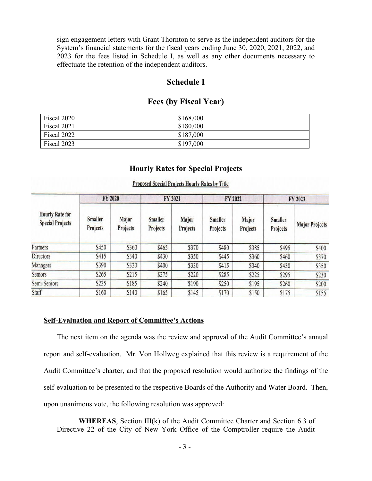sign engagement letters with Grant Thornton to serve as the independent auditors for the System's financial statements for the fiscal years ending June 30, 2020, 2021, 2022, and 2023 for the fees listed in Schedule I, as well as any other documents necessary to effectuate the retention of the independent auditors.

# **Schedule I**

# **Fees (by Fiscal Year)**

| Fiscal 2020 | \$168,000 |
|-------------|-----------|
| Fiscal 2021 | \$180,000 |
| Fiscal 2022 | \$187,000 |
| Fiscal 2023 | \$197,000 |

## **Hourly Rates for Special Projects**

| <b>Hourly Rate for</b><br><b>Special Projects</b> | FY 2020                    |                   | FY 2021                           |                          | FY 2022                    |                   | FY 2023                    |                       |
|---------------------------------------------------|----------------------------|-------------------|-----------------------------------|--------------------------|----------------------------|-------------------|----------------------------|-----------------------|
|                                                   | <b>Smaller</b><br>Projects | Major<br>Projects | <b>Smaller</b><br><b>Projects</b> | Major<br><b>Projects</b> | <b>Smaller</b><br>Projects | Major<br>Projects | <b>Smaller</b><br>Projects | <b>Major Projects</b> |
| Partners                                          | \$450                      | \$360             | \$465                             | \$370                    | \$480                      | \$385             | \$495                      | \$400                 |
| Directors                                         | \$415                      | \$340             | \$430                             | \$350                    | \$445                      | \$360             | \$460                      | \$370                 |
| Managers                                          | \$390                      | \$320             | \$400                             | \$330                    | \$415                      | \$340             | \$430                      | \$350                 |
| <b>Seniors</b>                                    | \$265                      | \$215             | \$275                             | \$220                    | \$285                      | \$225             | \$295                      | \$230                 |
| Semi-Seniors                                      | \$235                      | \$185             | \$240                             | \$190                    | \$250                      | \$195             | \$260                      | \$200                 |
| Staff                                             | \$160                      | \$140             | \$165                             | \$145                    | \$170                      | \$150             | \$175                      | \$155                 |

#### **Proposed Special Projects Hourly Rates by Title**

## **Self-Evaluation and Report of Committee's Actions**

The next item on the agenda was the review and approval of the Audit Committee's annual report and self-evaluation. Mr. Von Hollweg explained that this review is a requirement of the Audit Committee's charter, and that the proposed resolution would authorize the findings of the self-evaluation to be presented to the respective Boards of the Authority and Water Board. Then, upon unanimous vote, the following resolution was approved:

**WHEREAS**, Section III(k) of the Audit Committee Charter and Section 6.3 of Directive 22 of the City of New York Office of the Comptroller require the Audit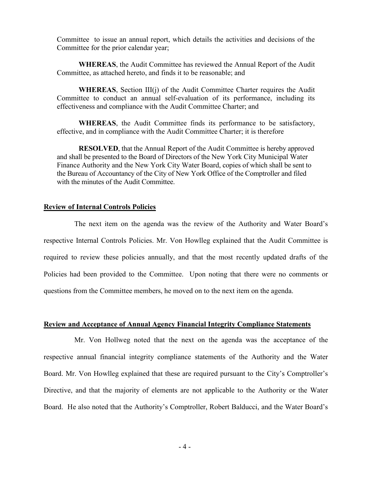Committee to issue an annual report, which details the activities and decisions of the Committee for the prior calendar year;

**WHEREAS**, the Audit Committee has reviewed the Annual Report of the Audit Committee, as attached hereto, and finds it to be reasonable; and

**WHEREAS**, Section III(j) of the Audit Committee Charter requires the Audit Committee to conduct an annual self-evaluation of its performance, including its effectiveness and compliance with the Audit Committee Charter; and

**WHEREAS**, the Audit Committee finds its performance to be satisfactory, effective, and in compliance with the Audit Committee Charter; it is therefore

**RESOLVED**, that the Annual Report of the Audit Committee is hereby approved and shall be presented to the Board of Directors of the New York City Municipal Water Finance Authority and the New York City Water Board, copies of which shall be sent to the Bureau of Accountancy of the City of New York Office of the Comptroller and filed with the minutes of the Audit Committee.

#### **Review of Internal Controls Policies**

The next item on the agenda was the review of the Authority and Water Board's respective Internal Controls Policies. Mr. Von Howlleg explained that the Audit Committee is required to review these policies annually, and that the most recently updated drafts of the Policies had been provided to the Committee. Upon noting that there were no comments or questions from the Committee members, he moved on to the next item on the agenda.

#### **Review and Acceptance of Annual Agency Financial Integrity Compliance Statements**

Mr. Von Hollweg noted that the next on the agenda was the acceptance of the respective annual financial integrity compliance statements of the Authority and the Water Board. Mr. Von Howlleg explained that these are required pursuant to the City's Comptroller's Directive, and that the majority of elements are not applicable to the Authority or the Water Board. He also noted that the Authority's Comptroller, Robert Balducci, and the Water Board's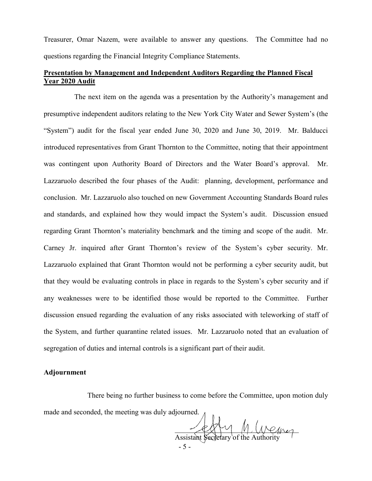Treasurer, Omar Nazem, were available to answer any questions. The Committee had no questions regarding the Financial Integrity Compliance Statements.

# **Presentation by Management and Independent Auditors Regarding the Planned Fiscal Year 2020 Audit**

The next item on the agenda was a presentation by the Authority's management and presumptive independent auditors relating to the New York City Water and Sewer System's (the "System") audit for the fiscal year ended June 30, 2020 and June 30, 2019. Mr. Balducci introduced representatives from Grant Thornton to the Committee, noting that their appointment was contingent upon Authority Board of Directors and the Water Board's approval. Mr. Lazzaruolo described the four phases of the Audit: planning, development, performance and conclusion. Mr. Lazzaruolo also touched on new Government Accounting Standards Board rules and standards, and explained how they would impact the System's audit. Discussion ensued regarding Grant Thornton's materiality benchmark and the timing and scope of the audit. Mr. Carney Jr. inquired after Grant Thornton's review of the System's cyber security. Mr. Lazzaruolo explained that Grant Thornton would not be performing a cyber security audit, but that they would be evaluating controls in place in regards to the System's cyber security and if any weaknesses were to be identified those would be reported to the Committee. Further discussion ensued regarding the evaluation of any risks associated with teleworking of staff of the System, and further quarantine related issues. Mr. Lazzaruolo noted that an evaluation of segregation of duties and internal controls is a significant part of their audit.

## **Adjournment**

There being no further business to come before the Committee, upon motion duly made and seconded, the meeting was duly adjourned.

 $P(X|Y|)$  M Unemer Assistant Secretary of the Aut